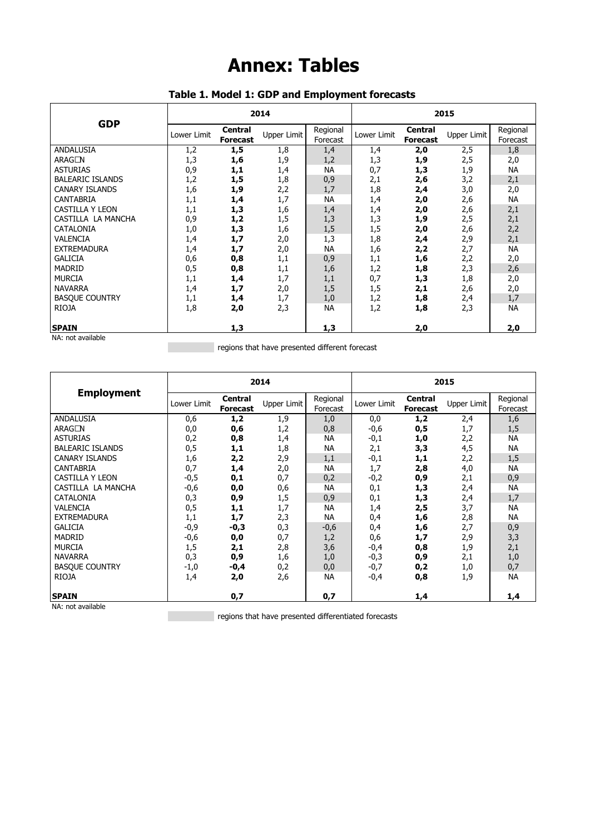## **Annex: Tables**

| <b>GDP</b>              | 2014        |                                   |                    |                      | 2015        |                                   |             |                      |
|-------------------------|-------------|-----------------------------------|--------------------|----------------------|-------------|-----------------------------------|-------------|----------------------|
|                         | Lower Limit | <b>Central</b><br><b>Forecast</b> | <b>Upper Limit</b> | Regional<br>Forecast | Lower Limit | <b>Central</b><br><b>Forecast</b> | Upper Limit | Regional<br>Forecast |
| ANDALUSIA               | 1,2         | 1,5                               | 1,8                | 1,4                  | 1,4         | 2,0                               | 2,5         | 1,8                  |
| ARAGÓN                  | 1,3         | 1,6                               | 1,9                | 1,2                  | 1,3         | 1,9                               | 2,5         | 2,0                  |
| <b>ASTURIAS</b>         | 0,9         | 1,1                               | 1,4                | <b>NA</b>            | 0,7         | 1,3                               | 1,9         | NA                   |
| <b>BALEARIC ISLANDS</b> | 1,2         | 1,5                               | 1,8                | 0,9                  | 2,1         | 2,6                               | 3,2         | 2,1                  |
| <b>CANARY ISLANDS</b>   | 1,6         | 1,9                               | 2,2                | 1,7                  | 1,8         | 2,4                               | 3,0         | 2,0                  |
| CANTABRIA               | 1,1         | 1,4                               | 1,7                | <b>NA</b>            | 1,4         | 2,0                               | 2,6         | NA                   |
| <b>CASTILLA Y LEON</b>  | 1,1         | 1,3                               | 1,6                | 1,4                  | 1,4         | 2,0                               | 2,6         | 2,1                  |
| CASTILLA LA MANCHA      | 0,9         | 1,2                               | 1,5                | 1,3                  | 1,3         | 1,9                               | 2,5         | 2,1                  |
| CATALONIA               | 1,0         | 1,3                               | 1,6                | 1,5                  | 1,5         | 2,0                               | 2,6         | 2,2                  |
| <b>VALENCIA</b>         | 1,4         | 1,7                               | 2,0                | 1,3                  | 1,8         | 2,4                               | 2,9         | 2,1                  |
| <b>EXTREMADURA</b>      | 1,4         | 1,7                               | 2,0                | <b>NA</b>            | 1,6         | 2,2                               | 2,7         | NA                   |
| <b>GALICIA</b>          | 0,6         | 0,8                               | 1,1                | 0,9                  | 1,1         | 1,6                               | 2,2         | 2,0                  |
| <b>MADRID</b>           | 0,5         | 0,8                               | 1,1                | 1,6                  | 1,2         | 1,8                               | 2,3         | 2,6                  |
| <b>MURCIA</b>           | 1,1         | 1,4                               | 1,7                | 1,1                  | 0,7         | 1,3                               | 1,8         | 2,0                  |
| <b>NAVARRA</b>          | 1,4         | 1,7                               | 2,0                | 1,5                  | 1,5         | 2,1                               | 2,6         | 2,0                  |
| <b>BASQUE COUNTRY</b>   | 1,1         | 1,4                               | 1,7                | 1,0                  | 1,2         | 1,8                               | 2,4         | 1,7                  |
| <b>RIOJA</b>            | 1,8         | 2,0                               | 2,3                | <b>NA</b>            | 1,2         | 1,8                               | 2,3         | <b>NA</b>            |
| <b>SPAIN</b>            |             | 1,3                               |                    | 1,3                  |             | 2,0                               |             | 2,0                  |
| $M_A$ , not available   |             |                                   |                    |                      |             |                                   |             |                      |

## **Table 1. Model 1: GDP and Employment forecasts**

NA: not available

**Figure 2018** regions that have presented different forecast

|                          | 2014        |                                   |                    |                      | 2015        |                                   |             |                      |
|--------------------------|-------------|-----------------------------------|--------------------|----------------------|-------------|-----------------------------------|-------------|----------------------|
| <b>Employment</b>        | Lower Limit | <b>Central</b><br><b>Forecast</b> | <b>Upper Limit</b> | Regional<br>Forecast | Lower Limit | <b>Central</b><br><b>Forecast</b> | Upper Limit | Regional<br>Forecast |
| <b>ANDALUSIA</b>         | 0,6         | 1,2                               | 1,9                | 1,0                  | 0,0         | 1,2                               | 2,4         | 1,6                  |
| ARAGÓN                   | 0,0         | 0,6                               | 1,2                | 0,8                  | $-0,6$      | 0,5                               | 1,7         | 1,5                  |
| <b>ASTURIAS</b>          | 0,2         | 0,8                               | 1,4                | <b>NA</b>            | $-0,1$      | 1,0                               | 2,2         | <b>NA</b>            |
| <b>BALEARIC ISLANDS</b>  | 0,5         | 1,1                               | 1,8                | <b>NA</b>            | 2,1         | 3,3                               | 4,5         | <b>NA</b>            |
| <b>CANARY ISLANDS</b>    | 1,6         | 2,2                               | 2,9                | 1,1                  | $-0,1$      | 1,1                               | 2,2         | 1,5                  |
| <b>CANTABRIA</b>         | 0,7         | 1,4                               | 2,0                | <b>NA</b>            | 1,7         | 2,8                               | 4,0         | <b>NA</b>            |
| <b>CASTILLA Y LEON</b>   | $-0,5$      | 0,1                               | 0,7                | 0,2                  | $-0,2$      | 0,9                               | 2,1         | 0,9                  |
| CASTILLA LA MANCHA       | $-0,6$      | 0,0                               | 0,6                | ΝA                   | 0,1         | 1,3                               | 2,4         | <b>NA</b>            |
| <b>CATALONIA</b>         | 0,3         | 0,9                               | 1,5                | 0,9                  | 0,1         | 1,3                               | 2,4         | 1,7                  |
| <b>VALENCIA</b>          | 0,5         | 1,1                               | 1,7                | <b>NA</b>            | 1,4         | 2,5                               | 3,7         | <b>NA</b>            |
| <b>EXTREMADURA</b>       | 1,1         | 1,7                               | 2,3                | <b>NA</b>            | 0,4         | 1,6                               | 2,8         | <b>NA</b>            |
| <b>GALICIA</b>           | $-0,9$      | $-0,3$                            | 0,3                | $-0,6$               | 0,4         | 1,6                               | 2,7         | 0,9                  |
| <b>MADRID</b>            | $-0,6$      | 0,0                               | 0,7                | 1,2                  | 0,6         | 1,7                               | 2,9         | 3,3                  |
| <b>MURCIA</b>            | 1,5         | 2,1                               | 2,8                | 3,6                  | $-0,4$      | 0,8                               | 1,9         | 2,1                  |
| <b>NAVARRA</b>           | 0,3         | 0,9                               | 1,6                | 1,0                  | $-0,3$      | 0,9                               | 2,1         | 1,0                  |
| <b>BASQUE COUNTRY</b>    | $-1,0$      | $-0,4$                            | 0,2                | 0,0                  | $-0,7$      | 0,2                               | 1,0         | 0,7                  |
| <b>RIOJA</b>             | 1,4         | 2,0                               | 2,6                | <b>NA</b>            | $-0,4$      | 0,8                               | 1,9         | <b>NA</b>            |
| <b>SPAIN</b><br>$\cdots$ |             | 0,7                               |                    | 0,7                  |             | 1,4                               |             | 1,4                  |

NA: not available

regions that have presented differentiated forecasts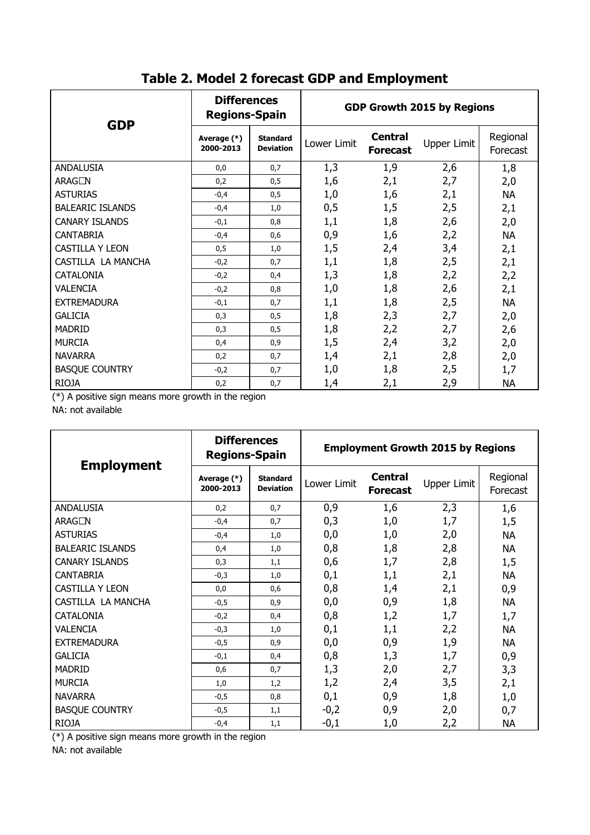| <b>GDP</b>              | <b>Differences</b><br><b>Regions-Spain</b> |                                     | <b>GDP Growth 2015 by Regions</b> |                                   |                    |                      |
|-------------------------|--------------------------------------------|-------------------------------------|-----------------------------------|-----------------------------------|--------------------|----------------------|
|                         | Average (*)<br>2000-2013                   | <b>Standard</b><br><b>Deviation</b> | Lower Limit                       | <b>Central</b><br><b>Forecast</b> | <b>Upper Limit</b> | Regional<br>Forecast |
| ANDALUSIA               | 0,0                                        | 0,7                                 | 1,3                               | 1,9                               | 2,6                | 1,8                  |
| ARAGÓN                  | 0,2                                        | 0, 5                                | 1,6                               | 2,1                               | 2,7                | 2,0                  |
| <b>ASTURIAS</b>         | $-0,4$                                     | 0,5                                 | 1,0                               | 1,6                               | 2,1                | <b>NA</b>            |
| <b>BALEARIC ISLANDS</b> | $-0,4$                                     | 1,0                                 | 0,5                               | 1,5                               | 2,5                | 2,1                  |
| <b>CANARY ISLANDS</b>   | $-0,1$                                     | 0,8                                 | 1,1                               | 1,8                               | 2,6                | 2,0                  |
| <b>CANTABRIA</b>        | $-0,4$                                     | 0,6                                 | 0,9                               | 1,6                               | 2,2                | <b>NA</b>            |
| <b>CASTILLA Y LEON</b>  | 0,5                                        | 1,0                                 | 1,5                               | 2,4                               | 3,4                | 2,1                  |
| CASTILLA LA MANCHA      | $-0,2$                                     | 0,7                                 | 1,1                               | 1,8                               | 2,5                | 2,1                  |
| CATALONIA               | $-0,2$                                     | 0,4                                 | 1,3                               | 1,8                               | 2,2                | 2,2                  |
| <b>VALENCIA</b>         | $-0,2$                                     | 0,8                                 | 1,0                               | 1,8                               | 2,6                | 2,1                  |
| <b>EXTREMADURA</b>      | $-0,1$                                     | 0,7                                 | 1,1                               | 1,8                               | 2,5                | <b>NA</b>            |
| <b>GALICIA</b>          | 0,3                                        | 0,5                                 | 1,8                               | 2,3                               | 2,7                | 2,0                  |
| <b>MADRID</b>           | 0,3                                        | 0,5                                 | 1,8                               | 2,2                               | 2,7                | 2,6                  |
| <b>MURCIA</b>           | 0,4                                        | 0,9                                 | 1,5                               | 2,4                               | 3,2                | 2,0                  |
| <b>NAVARRA</b>          | 0,2                                        | 0,7                                 | 1,4                               | 2,1                               | 2,8                | 2,0                  |
| <b>BASQUE COUNTRY</b>   | $-0,2$                                     | 0,7                                 | 1,0                               | 1,8                               | 2,5                | 1,7                  |
| <b>RIOJA</b>            | 0,2                                        | 0,7                                 | 1,4                               | 2,1                               | 2,9                | <b>NA</b>            |

## **Table 2. Model 2 forecast GDP and Employment**

(\*) A positive sign means more growth in the region

NA: not available

|                         | <b>Differences</b><br><b>Regions-Spain</b> |                                     | <b>Employment Growth 2015 by Regions</b> |                                   |                    |                      |  |
|-------------------------|--------------------------------------------|-------------------------------------|------------------------------------------|-----------------------------------|--------------------|----------------------|--|
| <b>Employment</b>       | Average (*)<br>2000-2013                   | <b>Standard</b><br><b>Deviation</b> | Lower Limit                              | <b>Central</b><br><b>Forecast</b> | <b>Upper Limit</b> | Regional<br>Forecast |  |
| ANDALUSIA               | 0,2                                        | 0,7                                 | 0,9                                      | 1,6                               | 2,3                | 1,6                  |  |
| <b>ARAGÓN</b>           | $-0,4$                                     | 0,7                                 | 0,3                                      | 1,0                               | 1,7                | 1,5                  |  |
| <b>ASTURIAS</b>         | $-0,4$                                     | 1,0                                 | 0,0                                      | 1,0                               | 2,0                | <b>NA</b>            |  |
| <b>BALEARIC ISLANDS</b> | 0,4                                        | 1,0                                 | 0,8                                      | 1,8                               | 2,8                | <b>NA</b>            |  |
| <b>CANARY ISLANDS</b>   | 0,3                                        | 1,1                                 | 0,6                                      | 1,7                               | 2,8                | 1,5                  |  |
| CANTABRIA               | $-0,3$                                     | 1,0                                 | 0,1                                      | 1,1                               | 2,1                | <b>NA</b>            |  |
| <b>CASTILLA Y LEON</b>  | 0,0                                        | 0,6                                 | 0,8                                      | 1,4                               | 2,1                | 0,9                  |  |
| CASTILLA LA MANCHA      | $-0,5$                                     | 0,9                                 | 0,0                                      | 0,9                               | 1,8                | <b>NA</b>            |  |
| <b>CATALONIA</b>        | $-0,2$                                     | 0,4                                 | 0,8                                      | 1,2                               | 1,7                | 1,7                  |  |
| VALENCIA                | $-0,3$                                     | 1,0                                 | 0,1                                      | 1,1                               | 2,2                | <b>NA</b>            |  |
| <b>EXTREMADURA</b>      | $-0,5$                                     | 0,9                                 | 0,0                                      | 0,9                               | 1,9                | <b>NA</b>            |  |
| <b>GALICIA</b>          | $-0,1$                                     | 0,4                                 | 0,8                                      | 1,3                               | 1,7                | 0,9                  |  |
| <b>MADRID</b>           | 0,6                                        | 0,7                                 | 1,3                                      | 2,0                               | 2,7                | 3,3                  |  |
| <b>MURCIA</b>           | 1,0                                        | 1,2                                 | 1,2                                      | 2,4                               | 3,5                | 2,1                  |  |
| <b>NAVARRA</b>          | $-0,5$                                     | 0,8                                 | 0,1                                      | 0,9                               | 1,8                | 1,0                  |  |
| <b>BASQUE COUNTRY</b>   | $-0,5$                                     | 1,1                                 | $-0,2$                                   | 0,9                               | 2,0                | 0,7                  |  |
| <b>RIOJA</b>            | $-0,4$                                     | 1,1                                 | $-0,1$                                   | 1,0                               | 2,2                | <b>NA</b>            |  |

(\*) A positive sign means more growth in the region

NA: not available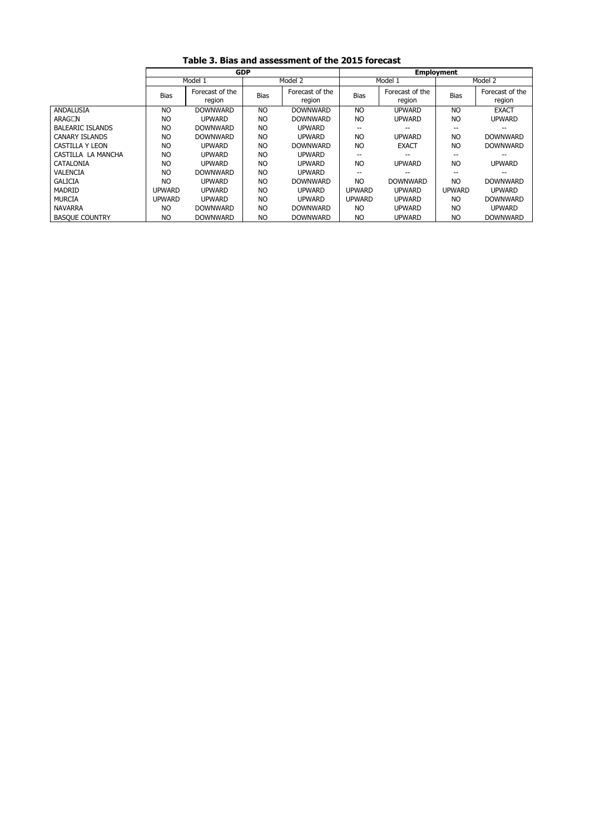|  | Table 3. Bias and assessment of the 2015 forecast |  |
|--|---------------------------------------------------|--|
|--|---------------------------------------------------|--|

Ĭ.

|                         | <b>GDP</b>    |                           |                |                           | <b>Employment</b>        |                           |                |                           |  |
|-------------------------|---------------|---------------------------|----------------|---------------------------|--------------------------|---------------------------|----------------|---------------------------|--|
|                         | Model 1       |                           |                | Model 2                   |                          | Model 1                   |                | Model 2                   |  |
|                         | <b>Bias</b>   | Forecast of the<br>region | <b>Bias</b>    | Forecast of the<br>region | <b>Bias</b>              | Forecast of the<br>region | <b>Bias</b>    | Forecast of the<br>region |  |
| ANDALUSIA               | <b>NO</b>     | <b>DOWNWARD</b>           | NO             | <b>DOWNWARD</b>           | <b>NO</b>                | <b>UPWARD</b>             | NO             | <b>EXACT</b>              |  |
| ARAGÓN                  | <b>NO</b>     | <b>UPWARD</b>             | <b>NO</b>      | <b>DOWNWARD</b>           | <b>NO</b>                | <b>UPWARD</b>             | <b>NO</b>      | <b>UPWARD</b>             |  |
| <b>BALEARIC ISLANDS</b> | <b>NO</b>     | <b>DOWNWARD</b>           | NO             | <b>UPWARD</b>             | $\overline{\phantom{a}}$ | $- -$                     | $-$            | $- -$                     |  |
| <b>CANARY ISLANDS</b>   | <b>NO</b>     | <b>DOWNWARD</b>           | <b>NO</b>      | UPWARD                    | <b>NO</b>                | <b>UPWARD</b>             | N <sub>O</sub> | <b>DOWNWARD</b>           |  |
| CASTILLA Y LEON         | <b>NO</b>     | UPWARD                    | NO             | <b>DOWNWARD</b>           | <b>NO</b>                | <b>EXACT</b>              | NO             | <b>DOWNWARD</b>           |  |
| CASTILLA LA MANCHA      | <b>NO</b>     | <b>UPWARD</b>             | NO             | <b>UPWARD</b>             | --                       | --                        |                |                           |  |
| CATALONIA               | <b>NO</b>     | <b>UPWARD</b>             | <b>NO</b>      | <b>UPWARD</b>             | <b>NO</b>                | <b>UPWARD</b>             | N <sub>O</sub> | <b>UPWARD</b>             |  |
| <b>VALENCIA</b>         | NO            | <b>DOWNWARD</b>           | N <sub>O</sub> | <b>UPWARD</b>             | --                       | $- -$                     |                | $- -$                     |  |
| <b>GALICIA</b>          | <b>NO</b>     | <b>UPWARD</b>             | N <sub>O</sub> | <b>DOWNWARD</b>           | N <sub>O</sub>           | <b>DOWNWARD</b>           | N <sub>O</sub> | <b>DOWNWARD</b>           |  |
| <b>MADRID</b>           | UPWARD        | <b>UPWARD</b>             | NO             | <b>UPWARD</b>             | <b>UPWARD</b>            | <b>UPWARD</b>             | <b>UPWARD</b>  | <b>UPWARD</b>             |  |
| <b>MURCIA</b>           | <b>UPWARD</b> | <b>UPWARD</b>             | <b>NO</b>      | <b>UPWARD</b>             | <b>UPWARD</b>            | <b>UPWARD</b>             | NO             | <b>DOWNWARD</b>           |  |
| <b>NAVARRA</b>          | <b>NO</b>     | <b>DOWNWARD</b>           | <b>NO</b>      | <b>DOWNWARD</b>           | <b>NO</b>                | <b>UPWARD</b>             | <b>NO</b>      | <b>UPWARD</b>             |  |
| <b>BASQUE COUNTRY</b>   | <b>NO</b>     | <b>DOWNWARD</b>           | <b>NO</b>      | <b>DOWNWARD</b>           | <b>NO</b>                | <b>UPWARD</b>             | <b>NO</b>      | <b>DOWNWARD</b>           |  |